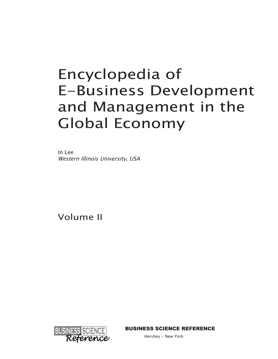# Encyclopedia of E-Business Development and Management in the Global Economy

In Lee Western Illinois University, USA

Volume II



Business science reference

Hershey • New York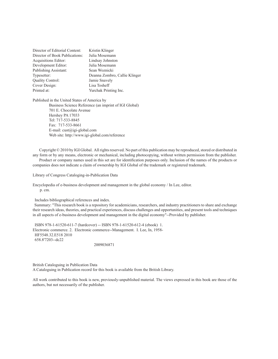| Director of Editorial Content: | Kristin Klinger               |
|--------------------------------|-------------------------------|
| Director of Book Publications: | Julia Mosemann                |
| Acquisitions Editor:           | Lindsay Johnston              |
| Development Editor:            | Julia Mosemann                |
| Publishing Assistant:          | Sean Woznicki                 |
| Typesetter:                    | Deanna Zombro, Callie Klinger |
| <b>Ouality Control:</b>        | Jamie Snavely                 |
| Cover Design:                  | Lisa Tosheff                  |
| Printed at:                    | Yurchak Printing Inc.         |

Published in the United States of America by Business Science Reference (an imprint of IGI Global) 701 E. Chocolate Avenue Hershey PA 17033 Tel: 717-533-8845 Fax: 717-533-8661 E-mail: cust@igi-global.com Web site: http://www.igi-global.com/reference

Copyright © 2010 by IGI Global. All rights reserved. No part of this publication may be reproduced, stored or distributed in any form or by any means, electronic or mechanical, including photocopying, without written permission from the publisher. Product or company names used in this set are for identification purposes only. Inclusion of the names of the products or

companies does not indicate a claim of ownership by IGI Global of the trademark or registered trademark.

Library of Congress Cataloging-in-Publication Data

Encyclopedia of e-business development and management in the global economy / In Lee, editor. p. cm.

Includes bibliographical references and index.

 Summary: "This research book is a repository for academicians, researchers, and industry practitioners to share and exchange their research ideas, theories, and practical experiences, discuss challenges and opportunities, and present tools and techniques in all aspects of e-business development and management in the digital economy"--Provided by publisher.

 ISBN 978-1-61520-611-7 (hardcover) -- ISBN 978-1-61520-612-4 (ebook) 1. Electronic commerce. 2. Electronic commerce--Management. I. Lee, In, 1958- HF5548.32.E518 2010 658.8'7203--dc22

2009036871

British Cataloguing in Publication Data A Cataloguing in Publication record for this book is available from the British Library.

All work contributed to this book is new, previously-unpublished material. The views expressed in this book are those of the authors, but not necessarily of the publisher.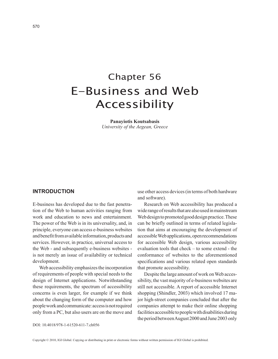## Chapter 56 E-Business and Web Accessibility

**Panayiotis Koutsabasis** *University of the Aegean, Greece*

#### **INTRODUCTION**

E-business has developed due to the fast penetration of the Web to human activities ranging from work and education to news and entertainment. The power of the Web is in its universality, and, in principle, everyone can access e-business websites and benefit from available information, products and services. However, in practice, universal access to the Web - and subsequently e-business websites is not merely an issue of availability or technical development.

Web accessibility emphasizes the incorporation of requirements of people with special needs to the design of Internet applications. Notwithstanding these requirements, the spectrum of accessibility concerns is even larger, for example if we think about the changing form of the computer and how people work and communicate: access is not required only from a PC, but also users are on the move and

use other access devices (in terms of both hardware and software).

Research on Web accessibility has produced a wide range of results that are also used in mainstream Web design to promoted good design practice. These can be briefly outlined in terms of related legislation that aims at encouraging the development of accessible Web applications, open recommendations for accessible Web design, various accessibility evaluation tools that check – to some extend - the conformance of websites to the aforementioned specifications and various related open standards that promote accessibility.

Despite the large amount of work on Web accessibility, the vast majority of e-business websites are still not accessible. A report of accessible Internet shopping (Shindler, 2003) which involved 17 major high-street companies concluded that after the companies attempt to make their online shopping facilities accessible to people with disabilities during the period between August 2000 and June 2003 only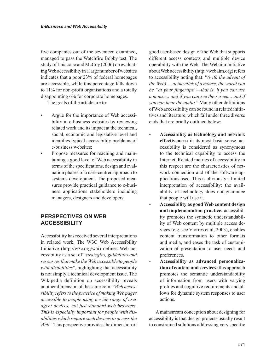five companies out of the seventeen examined, managed to pass the Watchfire Bobby test. The study of Loiacono and McCoy (2006) on evaluating Web accessibility in a large number of websites indicates that a poor 23% of federal homepages are accessible, while this percentage falls down to 11% for non-profit organisations and a totally disappointing 6% for corporate homepages.

The goals of the article are to:

- Argue for the importance of Web accessibility in e-business websites by reviewing related work and its impact at the technical, social, economic and legislative level and identifies typical accessibility problems of e-business websites;
- Propose measures for reaching and maintaining a good level of Web accessibility in terms of the specifications, design and evaluation phases of a user-centred approach to systems development. The proposed measures provide practical guidance to e-business applications stakeholders including managers, designers and developers.

#### **PERSPECTIVES ON WEB ACCESSIBILITY**

Accessibility has received several interpretations in related work. The W3C Web Accessibility Initiative (http://w3c.org/wai) defines Web accessibility as a set of "*strategies, guidelines and resources that make the Web accessible to people with disabilities*", highlighting that accessibility is not simply a technical development issue. The Wikipedia definition on accessibility reveals another dimension of the same coin: "*Web accessibility refers to the practice of making Web pages accessible to people using a wide range of user agent devices, not just standard web browsers. This is especially important for people with disabilities which require such devices to access the Web*". This perspective provides the dimension of

good user-based design of the Web that supports different access contexts and multiple device operability with the Web. The Webaim initiative about Web accessibility (http://webaim.org) refers to accessibility noting that: "*(with the advent of the Web) … at the click of a mouse, the world can be "at your fingertips"—that is, if you can use a mouse... and if you can see the screen... and if you can hear the audio.*" Many other definitions of Web accessibility can be found in related initiatives and literature, which fall under three diverse ends that are briefly outlined below:

- • **Accessibility as technology and network effectiveness:** in its most basic sense, accessibility is considered as synonymous to the technical capability to access the Internet. Related metrics of accessibility in this respect are the characteristics of network connection and of the software applications used. This is obviously a limited interpretation of accessibility: the availability of technology does not guarantee that people will use it.
- Accessibility as good Web content design **and implementation practice:** accessibility promotes the syntactic understandability of Web content by multiple access devices (e.g. see Viorres et al, 2003), enables content transformation to other formats and media, and eases the task of customization of presentation to user needs and preferences.
- • **Accessibility as advanced personalization of content and services:** this approach promotes the semantic understandability of information from users with varying profiles and cognitive requirements and allows for dynamic system responses to user actions.

A mainstream conception about designing for accessibility is that design projects usually result to constrained solutions addressing very specific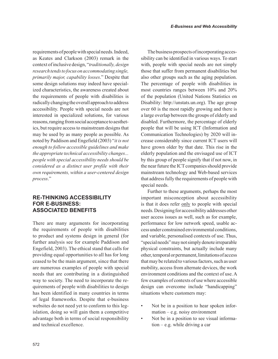requirements of people with special needs. Indeed, as Keates and Clarkson (2003) remark in the context of inclusive design, "*traditionally, design research tends to focus on accommodating single, primarily major, capability losses*." Despite that some design solutions may indeed have specialized characteristics, the awareness created about the requirements of people with disabilities is radically changing the overall approach to address accessibility. People with special needs are not interested in specialized solutions, for various reasons, ranging from social acceptance to aesthetics, but require access to mainstream designs that may be used by as many people as possible. As noted by Paddison and Engefield (2003) "*it is not enough to follow accessible guidelines and make the appropriate technical accessibility changes... people with special accessibility needs should be considered as a distinct user profile with their own requirements, within a user-centered design process*."

#### **RE-THINKING ACCESSIBILITY FOR E-BUSINESS: ASSOCIATED BENEFITS**

There are many arguments for incorporating the requirements of people with disabilities to product and systems design in general (for further analysis see for example Paddison and Engefield, 2003). The ethical stand that calls for providing equal opportunities to all has for long ceased to be the main argument, since that there are numerous examples of people with special needs that are contributing in a distinguished way to society. The need to incorporate the requirements of people with disabilities to design has been identified in many countries in terms of legal frameworks. Despite that e-business websites do not need yet to conform to this legislation, doing so will gain them a competitive advantage both in terms of social responsibility and technical excellence.

The business prospects of incorporating accessibility can be identified in various ways. To start with, people with special needs are not simply those that suffer from permanent disabilities but also other groups such as the aging population. The percentage of people with disabilities in most countries ranges between 10% and 20% of the population (United Nations Statistics on Disability: http://unstats.un.org). The age group over 60 is the most rapidly growing and there is a large overlap between the groups of elderly and disabled. Furthermore, the percentage of elderly people that will be using ICT (Information and Communication Technologies) by 2020 will increase considerably since current ICT users will have grown older by that date. This rise in the elderly population and the envisaged use of ICT by this group of people signify that if not now, in the near future the ICT companies should provide mainstream technology and Web-based services that address fully the requirements of people with special needs.

Further to these arguments, perhaps the most important misconception about accessibility is that it does refer only to people with special needs. Designing for accessibility addresses other user access issues as well, such as for example, performance for low network speed, usable access under constrained environmental conditions, and variable, personalised contexts of use. Thus, "special needs" may not simply denote irreparable physical constraints, but actually include many other, temporal or permanent, limitations of access that may be related to various factors, such as user mobility, access from alternate devices, the work environment conditions and the context of use. A few examples of contexts of use where accessible design can overcome include "handicapping" situations where customers may:

- Not be in a position to hear spoken information – e.g. noisy environment
- Not be in a position to see visual information – e.g. while driving a car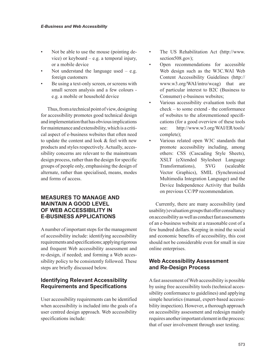- Not be able to use the mouse (pointing device) or keyboard – e.g. a temporal injury, or a mobile device
- Not understand the language used  $-$  e.g. foreign customers
- Be using a text-only screen, or screens with small screen analysis and a few colours e.g. a mobile or household device

Thus, from a technical point of view, designing for accessibility promotes good technical design and implementation that has obvious implications for maintenance and extensibility, which is a critical aspect of e-business websites that often need to update the content and look & feel with new products and styles respectively. Actually, accessibility concerns are relevant to the mainstream design process, rather than the design for specific groups of people only, emphasising the design of alternate, rather than specialised, means, modes and forms of access.

#### **MEASURES TO MANAGE AND MAINTAIN A GOOD LEVEL OF WEB ACCESSIBILITY IN E-BUSINESS APPLICATIONS**

A number of important steps for the management of accessibility include: identifying accessibility requirements and specifications; applying rigorous and frequent Web accessibility assessment and re-design, if needed; and forming a Web accessibility policy to be consistently followed. These steps are briefly discussed below.

### **Identifying Relevant Accessibility Requirements and Specifications**

User accessibility requirements can be identified when accessibility is included into the goals of a user centred design approach. Web accessibility specifications include:

- The US Rehabilitation Act (http://www. section508.gov);
- Open recommendations for accessible Web design such as the W3C.WAI Web Content Accessibility Guidelines (http:// www.w3.org/WAI/intro/wcag) that are of particular interest to B2C (Business to Consumer) e-business websites;
- Various accessibility evaluation tools that check – to some extend - the conformance of websites to the aforementioned specifications (for a good overview of these tools see: http://www.w3.org/WAI/ER/tools/ complete);
- Various related open W3C standards that promote accessibility including, among others: CSS (Cascading Style Sheets), XSLT (eXtended Stylesheet Language Transformations), SVG (scaleable Vector Graphics), SMIL (Synchronized Multimedia Integration Language) and the Device Independence Activity that builds on previous CC/PP recommendation.

Currently, there are many accessibility (and usability) evaluation groups that offer consultancy on accessibility as well as conduct fast assessments of an e-business website at a reasonable cost of a few hundred dollars. Keeping in mind the social and economic benefits of accessibility, this cost should not be considerable even for small in size online enterprises.

#### **Web Accessibility Assessment and Re-Design Process**

A fast assessment of Web accessibility is possible by using free accessibility tools (technical accessibility conformance to guidelines) and applying simple heuristics (manual, expert-based accessibility inspection). However, a thorough approach on accessibility assessment and redesign mainly requires another important element in the process: that of user involvement through user testing.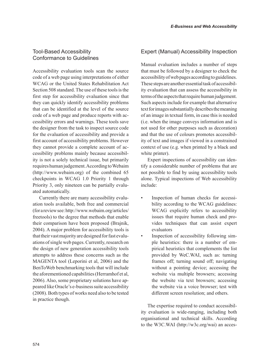#### Tool-Based Accessibility Conformance to Guidelines

Accessibility evaluation tools scan the source code of a web page using interpretations of either WCAG or the United States Rehabilitation Act Section 508 standard. The use of these tools is the first step for accessibility evaluation since that they can quickly identify accessibility problems that can be identified at the level of the source code of a web page and produce reports with accessibility errors and warnings. These tools save the designer from the task to inspect source code for the evaluation of accessibility and provide a first account of accessibility problems. However they cannot provide a complete account of accessibility problems mainly because accessibility is not a solely technical issue, but primarily requires human judgement. According to Webaim (http://www.webaim.org) of the combined 65 checkpoints in WCAG 1.0 Priority 1 through Priority 3, only nineteen can be partially evaluated automatically.

Currently there are many accessibility evaluation tools available, both free and commercial (for a review see: http://www.webaim.org/articles/ freetools) to the degree that methods that enable their comparison have been proposed (Brajnik, 2004). A major problem for accessibility tools is that their vast majority are designed for fast evaluations of single web pages. Currently, research on the design of new generation accessibility tools attempts to address these concerns such as the MAGENTA tool (Leporini et al, 2006) and the BenToWeb benchmarking tools that will include the aforementioned capabilities (Herramhof et al, 2006). Also, some proprietary solutions have appeared like Oracle's e-business suite accessibility (2008). Both types of works need also to be tested in practice though.

#### Expert (Manual) Accessibility Inspection

Manual evaluation includes a number of steps that must be followed by a designer to check the accessibility of web pages according to guidelines. These steps are another essential task of accessibility evaluation that can assess the accessibility in terms of the aspects that require human judgement. Such aspects include for example that alternative text for images substantially describes the meaning of an image in textual form, in case this is needed (i.e. when the image conveys information and is not used for other purposes such as decoration) and that the use of colours promotes accessibility of text and images if viewed in a constrained context of use (e.g. when printed by a black and white printer).

Expert inspections of accessibility can identify a considerable number of problems that are not possible to find by using accessibility tools alone. Typical inspections of Web accessibility include:

- Inspection of human checks for accessibility according to the WCAG guidelines: WCAG explicitly refers to accessibility issues that require human check and provides techniques that can assist expert evaluators
- Inspection of accessibility following simple heuristics: there is a number of empirical heuristics that complements the list provided by WeC.WAI, such as: turning frames off; turning sound off; navigating without a pointing device; accessing the website via multiple browsers; accessing the website via text browsers; accessing the website via a voice browser; test with different screen resolution; and others.

The expertise required to conduct accessibility evaluation is wide-ranging, including both organisational and technical skills. According to the W3C.WAI (http://w3c.org/wai) an acces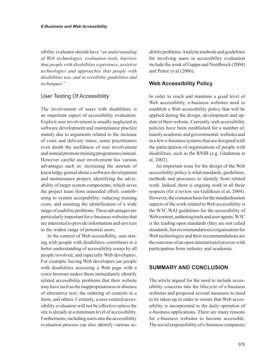sibility evaluator should have "*an understanding of Web technologies, evaluation tools, barriers that people with disabilities experience, assistive technologies and approaches that people with disabilities use, and accessibility guidelines and techniques*."

#### User Testing Of Accessibility

The involvement of users with disabilities is an important aspect of accessibility evaluation. Explicit user involvement is usually neglected in software development and maintenance practice mainly due to arguments related to the increase of costs and delivery times; some practitioners even doubt the usefulness of user involvement and instead promote training programmes instead. However careful user involvement has various advantages such as: increasing the amount of knowledge gained about a software development and maintenance project; identifying the advisability of target system components, which saves the project team from unneeded effort; contributing to system acceptability; reducing training costs; and assisting the identification of a wide range of usability problems. These advantages are particularly important for e-business websites that are interested to provide information and services to the widest range of potential users.

In the context of Web accessibility, user testing with people with disabilities contributes to a better understanding of accessibility issues by all people involved, and especially Web developers. For example, having Web developers see people with disabilities accessing a Web page with a voice browser makes them immediately identify related accessibility problems that their website may have such as the inappropriateness or absence of alternative text, the ordering of controls in a form, and others. Certainly, a user-centred accessibility evaluation will not be effective unless the site is already at a minimum level of accessibility. Furthermore, including users into the accessibility evaluation process can also identify various usability problems. Analytic methods and guidelines for involving users in accessibility evaluation include the work of Gappa and Nordbrock (2004) and Petrie et al (2006).

#### **Web Accessibility Policy**

In order to reach and maintain a good level of Web accessibility, e-business websites need to establish a Web accessibility policy that will be applied during the design, development and update of their website. Currently, web accessibility policies have been established for a number of, mainly academic and governmental, websites and in a few e-business systems that are designed with the participation of organisations of people with disabilities, such as the RNIB (e.g. Gladstone et al, 2002).

An important issue for the design of the Web accessibility policy is what standards, guidelines, methods and processes to identify from related work. Indeed, there is ongoing work in all these respects (for a review see Gulliksen et al, 2004). However, the common basis for the standardisation aspects of the work related to Web accessibility is the W3C.WAI guidelines for the accessibility of Web content, authoring tools and user agents. W3C is the leading open standards (they are not called standards, but recommendations) organisation for Web technologies and their recommendations are the outcome of an open international process with participation from industry and academia.

#### **SUMMARY AND CONCLUSION**

The article argued for the need to include accessibility concerns into the lifecycle of e-business websites and proposed several measures to need to be taken up in order to ensure that Web accessibility is incorporated to the daily operation of e-business applications. There are many reasons for e-business websites to become accessible. The social responsibility of e-business companies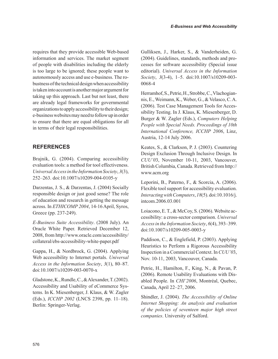requires that they provide accessible Web-based information and services. The market segment of people with disabilities including the elderly is too large to be ignored; these people want to autonomously access and use e-business. The robustness of the technical design when accessibility is taken into account is another major argument for taking up this approach. Last but not least, there are already legal frameworks for governmental organizations to apply accessibility to their design; e-business websites may need to follow up in order to ensure that there are equal obligations for all in terms of their legal responsibilities.

#### **REFERENCES**

Brajnik, G. (2004). Comparing accessibility evaluation tools: a method for tool effectiveness. *Universal Access in the Information Society*, *3*(3), 252–263. doi:10.1007/s10209-004-0105-y

Darzentas, J. S., & Darzentas, J. (2004) Socially responsible design or just good sense? The role of education and research in getting the message across. In *ETHICOMP 2004*, 14-16 April, Syros, Greece (pp. 237-249).

*E-Business Suite Accessibility*. (2008 July). An Oracle White Paper. Retrieved December 12, 2008, from http://www.oracle.com/accessibility/ collateral/ebs-accessibility-white-paper.pdf

Gappa, H., & Nordbrock, G. (2004). Applying Web accessibility to Internet portals. *Universal Access in the Information Society*, *3*(1), 80–87. doi:10.1007/s10209-003-0070-x

Gladstone, K., Rundle, C., & Alexander, T. (2002). Accessibility and Usability of eCommerce Systems. In K. Miesenberger, J. Klaus, & W. Zagler (Eds.), *ICCHP 2002* (LNCS 2398, pp. 11–18). Berlin: Springer-Verlag.

Gulliksen, J., Harker, S., & Vanderheiden, G. (2004). Guidelines, standards, methods and processes for software accessibility (Special issue editorial). *Universal Access in the Information Society*, *3*(3-4), 1–5. doi:10.1007/s10209-003- 0068-4

Herramhof, S., Petrie, H., Strobbe, C., Vlachogiannis, E., Weimann, K., Weber, G., & Velasco, C. A. (2006). Test Case Management Tools for Accessibility Testing. In J. Klaus, K. Miesenberger, D. Burger & W. Zagler (Eds.), *Computers Helping People with Special Needs. Proceedings of 10th International Conference, ICCHP 2006*, Linz, Austria, 12-14 July 2006.

Keates, S., & Clarkson, P. J. (2003). Countering Design Exclusion Through Inclusive Design. In *CUU'0*3, November 10-11, 2003, Vancouver, British Columbia, Canada. Retrieved from http:// www.acm.org

Leporini, B., Paterno, F., & Scorcia, A. (2006). Flexible tool support for accessibility evaluation. *Interacting with Computers*, *18*(5). doi:10.1016/j. intcom.2006.03.001

Loiacono, E. T., & McCoy, S. (2006). Website accessibility: a cross-sector comparison. *Universal Access in the Information Society*, *6*(4), 393–399. doi:10.1007/s10209-005-0003-y

Paddison, C., & Englefield, P. (2003). Applying Heuristics to Perform a Rigorous Accessibility Inspection in a Commercial Context. In *CUU'0*3, Nov. 10-11, 2003, Vancouver, Canada.

Petrie, H., Hamilton, F., King, N., & Pavan, P. (2006). Remote Usability Evaluations with Disabled People. In *CHI'2006*, Montréal, Quebec, Canada, April 22–27, 2006.

Shindler, J. (2004). *The Accessibility of Online Internet Shopping: An analysis and evaluation of the policies of seventeen major high street companies*. University of Salford.